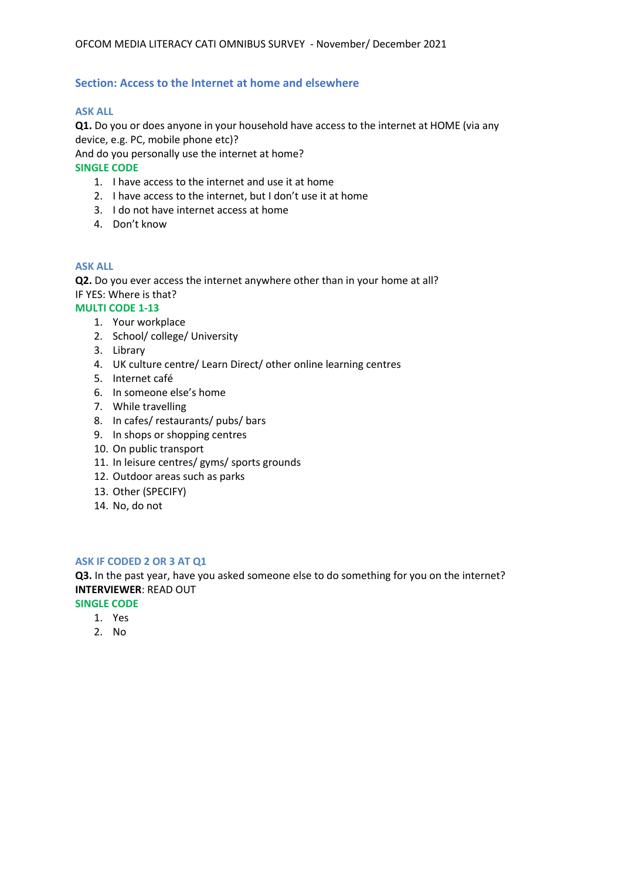## **Section: Access to the Internet at home and elsewhere**

#### **ASK ALL**

**Q1.** Do you or does anyone in your household have access to the internet at HOME (via any device, e.g. PC, mobile phone etc)?

And do you personally use the internet at home?

**SINGLE CODE**

- 1. I have access to the internet and use it at home
- 2. I have access to the internet, but I don't use it at home
- 3. I do not have internet access at home
- 4. Don't know

#### **ASK ALL**

**Q2.** Do you ever access the internet anywhere other than in your home at all? IF YES: Where is that?

## **MULTI CODE 1-13**

- 1. Your workplace
- 2. School/ college/ University
- 3. Library
- 4. UK culture centre/ Learn Direct/ other online learning centres
- 5. Internet café
- 6. In someone else's home
- 7. While travelling
- 8. In cafes/ restaurants/ pubs/ bars
- 9. In shops or shopping centres
- 10. On public transport
- 11. In leisure centres/ gyms/ sports grounds
- 12. Outdoor areas such as parks
- 13. Other (SPECIFY)
- 14. No, do not

#### **ASK IF CODED 2 OR 3 AT Q1**

**Q3.** In the past year, have you asked someone else to do something for you on the internet? **INTERVIEWER**: READ OUT

**SINGLE CODE**

- 1. Yes
- 2. No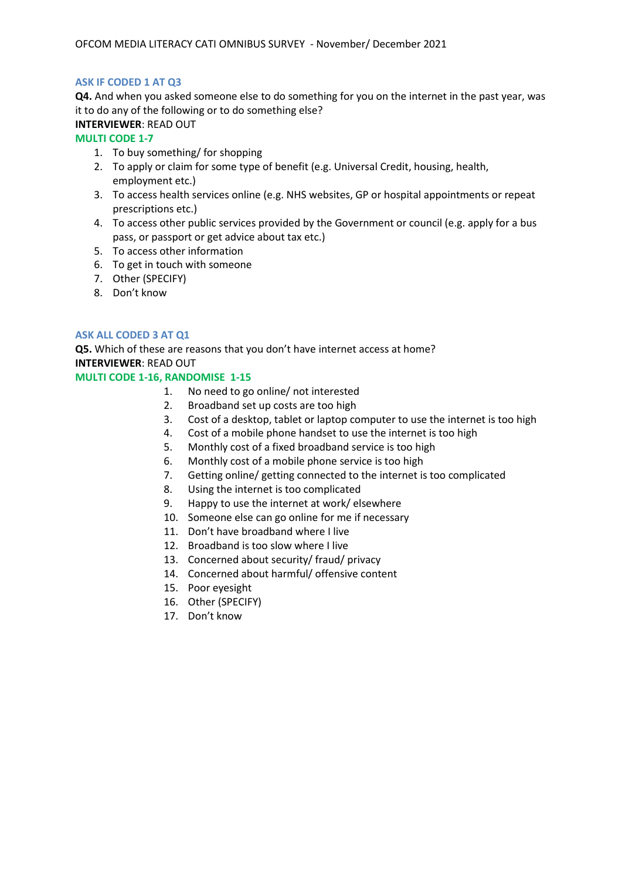## **ASK IF CODED 1 AT Q3**

**Q4.** And when you asked someone else to do something for you on the internet in the past year, was it to do any of the following or to do something else?

# **INTERVIEWER**: READ OUT

## **MULTI CODE 1-7**

- 1. To buy something/ for shopping
- 2. To apply or claim for some type of benefit (e.g. Universal Credit, housing, health, employment etc.)
- 3. To access health services online (e.g. NHS websites, GP or hospital appointments or repeat prescriptions etc.)
- 4. To access other public services provided by the Government or council (e.g. apply for a bus pass, or passport or get advice about tax etc.)
- 5. To access other information
- 6. To get in touch with someone
- 7. Other (SPECIFY)
- 8. Don't know

## **ASK ALL CODED 3 AT Q1**

**Q5.** Which of these are reasons that you don't have internet access at home? **INTERVIEWER**: READ OUT

#### **MULTI CODE 1-16, RANDOMISE 1-15**

- 1. No need to go online/ not interested
- 2. Broadband set up costs are too high
- 3. Cost of a desktop, tablet or laptop computer to use the internet is too high
- 4. Cost of a mobile phone handset to use the internet is too high
- 5. Monthly cost of a fixed broadband service is too high
- 6. Monthly cost of a mobile phone service is too high
- 7. Getting online/ getting connected to the internet is too complicated
- 8. Using the internet is too complicated
- 9. Happy to use the internet at work/ elsewhere
- 10. Someone else can go online for me if necessary
- 11. Don't have broadband where I live
- 12. Broadband is too slow where I live
- 13. Concerned about security/ fraud/ privacy
- 14. Concerned about harmful/ offensive content
- 15. Poor eyesight
- 16. Other (SPECIFY)
- 17. Don't know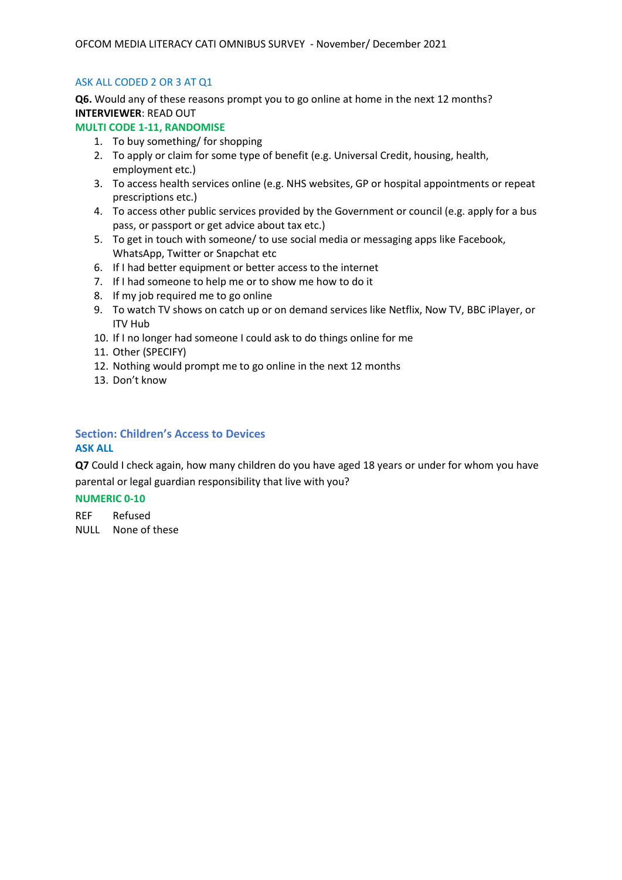## ASK ALL CODED 2 OR 3 AT Q1

**Q6.** Would any of these reasons prompt you to go online at home in the next 12 months? **INTERVIEWER**: READ OUT

## **MULTI CODE 1-11, RANDOMISE**

- 1. To buy something/ for shopping
- 2. To apply or claim for some type of benefit (e.g. Universal Credit, housing, health, employment etc.)
- 3. To access health services online (e.g. NHS websites, GP or hospital appointments or repeat prescriptions etc.)
- 4. To access other public services provided by the Government or council (e.g. apply for a bus pass, or passport or get advice about tax etc.)
- 5. To get in touch with someone/ to use social media or messaging apps like Facebook, WhatsApp, Twitter or Snapchat etc
- 6. If I had better equipment or better access to the internet
- 7. If I had someone to help me or to show me how to do it
- 8. If my job required me to go online
- 9. To watch TV shows on catch up or on demand services like Netflix, Now TV, BBC iPlayer, or ITV Hub
- 10. If I no longer had someone I could ask to do things online for me
- 11. Other (SPECIFY)
- 12. Nothing would prompt me to go online in the next 12 months
- 13. Don't know

#### **Section: Children's Access to Devices ASK ALL**

**Q7** Could I check again, how many children do you have aged 18 years or under for whom you have parental or legal guardian responsibility that live with you?

## **NUMERIC 0-10**

REF Refused NULL None of these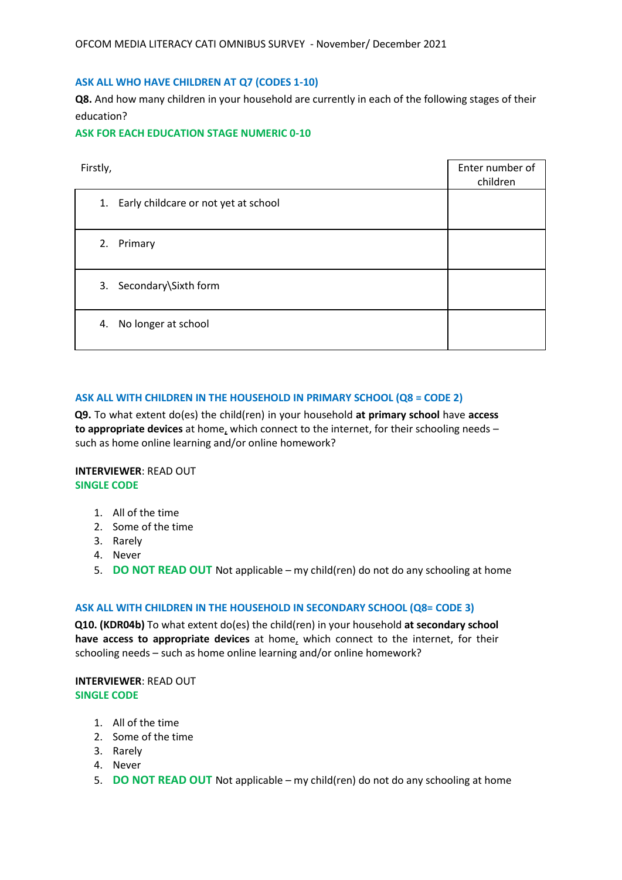#### **ASK ALL WHO HAVE CHILDREN AT Q7 (CODES 1-10)**

**Q8.** And how many children in your household are currently in each of the following stages of their education?

**ASK FOR EACH EDUCATION STAGE NUMERIC 0-10**

| Firstly,                                | Enter number of<br>children |
|-----------------------------------------|-----------------------------|
| 1. Early childcare or not yet at school |                             |
| 2. Primary                              |                             |
| 3. Secondary\Sixth form                 |                             |
| 4. No longer at school                  |                             |

#### **ASK ALL WITH CHILDREN IN THE HOUSEHOLD IN PRIMARY SCHOOL (Q8 = CODE 2)**

**Q9.** To what extent do(es) the child(ren) in your household **at primary school** have **access to appropriate devices** at home, which connect to the internet, for their schooling needs – such as home online learning and/or online homework?

#### **INTERVIEWER**: READ OUT **SINGLE CODE**

- 1. All of the time
- 2. Some of the time
- 3. Rarely
- 4. Never
- 5. **DO NOT READ OUT** Not applicable my child(ren) do not do any schooling at home

#### **ASK ALL WITH CHILDREN IN THE HOUSEHOLD IN SECONDARY SCHOOL (Q8= CODE 3)**

**Q10. (KDR04b)** To what extent do(es) the child(ren) in your household **at secondary school have access to appropriate devices** at home, which connect to the internet, for their schooling needs – such as home online learning and/or online homework?

## **INTERVIEWER**: READ OUT **SINGLE CODE**

- 1. All of the time
- 2. Some of the time
- 3. Rarely
- 4. Never
- 5. **DO NOT READ OUT** Not applicable my child(ren) do not do any schooling at home